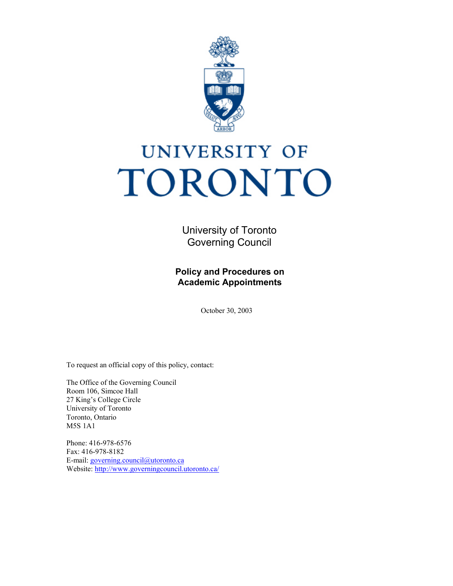

# UNIVERSITY OF TORONTO

 University of Toronto Governing Council

**Policy and Procedures on Academic Appointments** 

October 30, 2003

To request an official copy of this policy, contact:

 The Office of the Governing Council Room 106, Simcoe Hall 27 King's College Circle Toronto, Ontario M5S 1A1 University of Toronto

Phone: 416-978-6576 Fax: 416-978-8182 E-mail: [governing.council@utoronto.ca](mailto:governing.council@utoronto.ca)  Website:<http://www.governingcouncil.utoronto.ca/>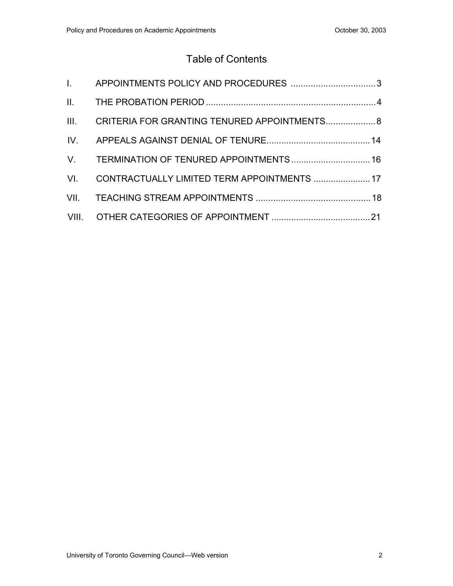## Table of Contents

| III. CRITERIA FOR GRANTING TENURED APPOINTMENTS 8 |  |
|---------------------------------------------------|--|
|                                                   |  |
|                                                   |  |
| VI. CONTRACTUALLY LIMITED TERM APPOINTMENTS  17   |  |
|                                                   |  |
|                                                   |  |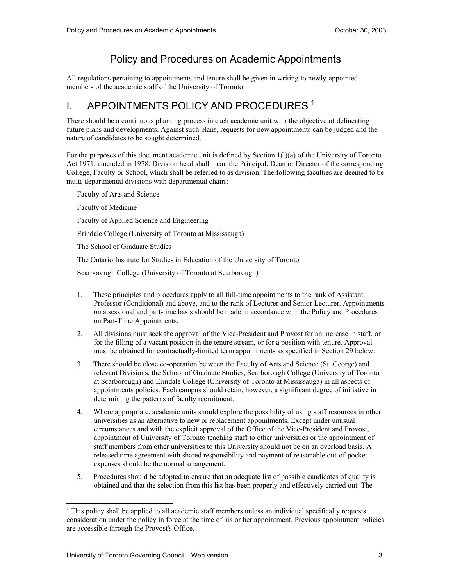## Policy and Procedures on Academic Appointments

 All regulations pertaining to appointments and tenure shall be given in writing to newly-appointed members of the academic staff of the University of Toronto.

## I. APPOINTMENTS POLICY AND PROCEDURES<sup>1</sup>

 There should be a continuous planning process in each academic unit with the objective of delineating future plans and developments. Against such plans, requests for new appointments can be judged and the nature of candidates to be sought determined.

 For the purposes of this document academic unit is defined by Section 1(l)(a) of the University of Toronto Act 1971, amended in 1978. Division head shall mean the Principal, Dean or Director of the corresponding College, Faculty or School, which shall be referred to as division. The following faculties are deemed to be multi-departmental divisions with departmental chairs:

 Faculty of Arts and Science Faculty of Medicine Faculty of Applied Science and Engineering Erindale College (University of Toronto at Mississauga) The School of Graduate Studies The Ontario Institute for Studies in Education of the University of Toronto

Scarborough College (University of Toronto at Scarborough)

- $1_{-}$  Professor (Conditional) and above, and to the rank of Lecturer and Senior Lecturer. Appointments on a sessional and part-time basis should be made in accordance with the Policy and Procedures on Part-Time Appointments. These principles and procedures apply to all full-time appointments to the rank of Assistant
- 2. for the filling of a vacant position in the tenure stream, or for a position with tenure. Approval must be obtained for contractually-limited term appointments as specified in Section 29 below. 2. All divisions must seek the approval of the Vice-President and Provost for an increase in staff, or
- 3. relevant Divisions, the School of Graduate Studies, Scarborough College (University of Toronto at Scarborough) and Erindale College (University of Toronto at Mississauga) in all aspects of appointments policies. Each campus should retain, however, a significant degree of initiative in There should be close co-operation between the Faculty of Arts and Science (St. George) and determining the patterns of faculty recruitment.
- 4. universities as an alternative to new or replacement appointments. Except under unusual circumstances and with the explicit approval of the Office of the Vice-President and Provost, appointment of University of Toronto teaching staff to other universities or the appointment of staff members from other universities to this University should not be on an overload basis. A released time agreement with shared responsibility and payment of reasonable out-of-pocket expenses should be the normal arrangement. Where appropriate, academic units should explore the possibility of using staff resources in other
- 5. obtained and that the selection from this list has been properly and effectively carried out. The Procedures should be adopted to ensure that an adequate list of possible candidates of quality is

 $<sup>1</sup>$  This policy shall be applied to all academic staff members unless an individual specifically requests</sup> consideration under the policy in force at the time of his or her appointment. Previous appointment policies are accessible through the Provost's Office.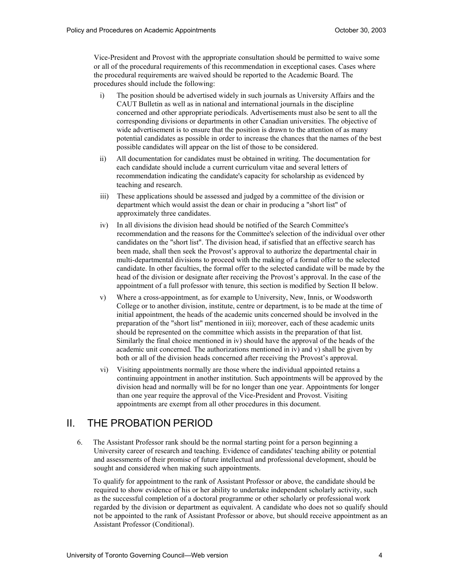Vice-President and Provost with the appropriate consultation should be permitted to waive some or all of the procedural requirements of this recommendation in exceptional cases. Cases where the procedural requirements are waived should be reported to the Academic Board. The procedures should include the following:

- $i)$  CAUT Bulletin as well as in national and international journals in the discipline concerned and other appropriate periodicals. Advertisements must also be sent to all the corresponding divisions or departments in other Canadian universities. The objective of wide advertisement is to ensure that the position is drawn to the attention of as many potential candidates as possible in order to increase the chances that the names of the best possible candidates will appear on the list of those to be considered. The position should be advertised widely in such journals as University Affairs and the
- ii) All documentation for candidates must be obtained in writing. The documentation for each candidate should include a current curriculum vitae and several letters of recommendation indicating the candidate's capacity for scholarship as evidenced by teaching and research.
- $\overline{\text{iii}}$  department which would assist the dean or chair in producing a "short list" of approximately three candidates. These applications should be assessed and judged by a committee of the division or
- $iv)$  recommendation and the reasons for the Committee's selection of the individual over other candidates on the "short list". The division head, if satisfied that an effective search has been made, shall then seek the Provost's approval to authorize the departmental chair in multi-departmental divisions to proceed with the making of a formal offer to the selected candidate. In other faculties, the formal offer to the selected candidate will be made by the head of the division or designate after receiving the Provost's approval. In the case of the appointment of a full professor with tenure, this section is modified by Section II below. In all divisions the division head should be notified of the Search Committee's
- $V)$  College or to another division, institute, centre or department, is to be made at the time of initial appointment, the heads of the academic units concerned should be involved in the preparation of the "short list" mentioned in iii); moreover, each of these academic units should be represented on the committee which assists in the preparation of that list. Similarly the final choice mentioned in iv) should have the approval of the heads of the academic unit concerned. The authorizations mentioned in iv) and v) shall be given by both or all of the division heads concerned after receiving the Provost's approval. Where a cross-appointment, as for example to University, New, Innis, or Woodsworth
- $\overline{vi}$  continuing appointment in another institution. Such appointments will be approved by the division head and normally will be for no longer than one year. Appointments for longer than one year require the approval of the Vice-President and Provost. Visiting appointments are exempt from all other procedures in this document. Visiting appointments normally are those where the individual appointed retains a

#### ΙΙ. THE PROBATION PERIOD

6. University career of research and teaching. Evidence of candidates' teaching ability or potential and assessments of their promise of future intellectual and professional development, should be sought and considered when making such appointments. The Assistant Professor rank should be the normal starting point for a person beginning a

 To qualify for appointment to the rank of Assistant Professor or above, the candidate should be required to show evidence of his or her ability to undertake independent scholarly activity, such as the successful completion of a doctoral programme or other scholarly or professional work regarded by the division or department as equivalent. A candidate who does not so qualify should not be appointed to the rank of Assistant Professor or above, but should receive appointment as an Assistant Professor (Conditional).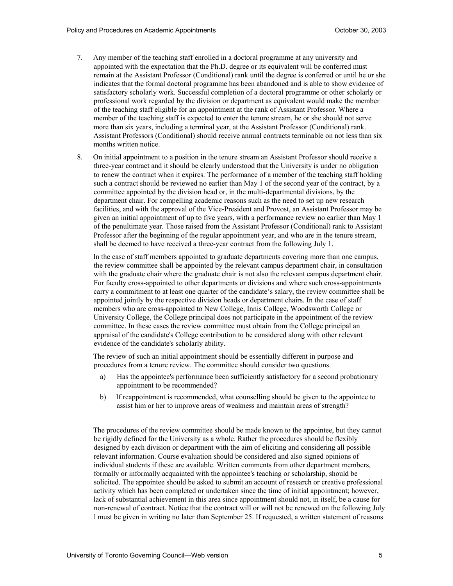- $7<sub>1</sub>$  appointed with the expectation that the Ph.D. degree or its equivalent will be conferred must remain at the Assistant Professor (Conditional) rank until the degree is conferred or until he or she indicates that the formal doctoral programme has been abandoned and is able to show evidence of satisfactory scholarly work. Successful completion of a doctoral programme or other scholarly or professional work regarded by the division or department as equivalent would make the member of the teaching staff eligible for an appointment at the rank of Assistant Professor. Where a member of the teaching staff is expected to enter the tenure stream, he or she should not serve more than six years, including a terminal year, at the Assistant Professor (Conditional) rank. Assistant Professors (Conditional) should receive annual contracts terminable on not less than six months written notice. Any member of the teaching staff enrolled in a doctoral programme at any university and
- 8. three-year contract and it should be clearly understood that the University is under no obligation to renew the contract when it expires. The performance of a member of the teaching staff holding such a contract should be reviewed no earlier than May 1 of the second year of the contract, by a committee appointed by the division head or, in the multi-departmental divisions, by the department chair. For compelling academic reasons such as the need to set up new research facilities, and with the approval of the Vice-President and Provost, an Assistant Professor may be given an initial appointment of up to five years, with a performance review no earlier than May 1 of the penultimate year. Those raised from the Assistant Professor (Conditional) rank to Assistant Professor after the beginning of the regular appointment year, and who are in the tenure stream, shall be deemed to have received a three-year contract from the following July 1. 8. On initial appointment to a position in the tenure stream an Assistant Professor should receive a

 In the case of staff members appointed to graduate departments covering more than one campus, the review committee shall be appointed by the relevant campus department chair, in consultation with the graduate chair where the graduate chair is not also the relevant campus department chair. For faculty cross-appointed to other departments or divisions and where such cross-appointments carry a commitment to at least one quarter of the candidate's salary, the review committee shall be appointed jointly by the respective division heads or department chairs. In the case of staff members who are cross-appointed to New College, Innis College, Woodsworth College or University College, the College principal does not participate in the appointment of the review committee. In these cases the review committee must obtain from the College principal an appraisal of the candidate's College contribution to be considered along with other relevant evidence of the candidate's scholarly ability.

 The review of such an initial appointment should be essentially different in purpose and procedures from a tenure review. The committee should consider two questions.

- a) appointment to be recommended? Has the appointee's performance been sufficiently satisfactory for a second probationary
- $b)$  assist him or her to improve areas of weakness and maintain areas of strength? If reappointment is recommended, what counselling should be given to the appointee to

 The procedures of the review committee should be made known to the appointee, but they cannot be rigidly defined for the University as a whole. Rather the procedures should be flexibly designed by each division or department with the aim of eliciting and considering all possible relevant information. Course evaluation should be considered and also signed opinions of individual students if these are available. Written comments from other department members, formally or informally acquainted with the appointee's teaching or scholarship, should be solicited. The appointee should be asked to submit an account of research or creative professional activity which has been completed or undertaken since the time of initial appointment; however, lack of substantial achievement in this area since appointment should not, in itself, be a cause for non-renewal of contract. Notice that the contract will or will not be renewed on the following July l must be given in writing no later than September 25. If requested, a written statement of reasons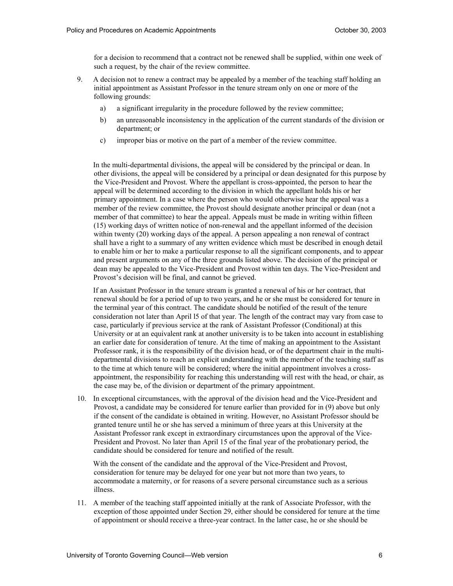for a decision to recommend that a contract not be renewed shall be supplied, within one week of such a request, by the chair of the review committee.

- 9. initial appointment as Assistant Professor in the tenure stream only on one or more of the following grounds: A decision not to renew a contract may be appealed by a member of the teaching staff holding an
	- a) a significant irregularity in the procedure followed by the review committee;
	- $\mathbf{b}$ an unreasonable inconsistency in the application of the current standards of the division or department; or
	- $\mathbf{c}$ improper bias or motive on the part of a member of the review committee.

 In the multi-departmental divisions, the appeal will be considered by the principal or dean. In other divisions, the appeal will be considered by a principal or dean designated for this purpose by the Vice-President and Provost. Where the appellant is cross-appointed, the person to hear the appeal will be determined according to the division in which the appellant holds his or her primary appointment. In a case where the person who would otherwise hear the appeal was a member of the review committee, the Provost should designate another principal or dean (not a member of that committee) to hear the appeal. Appeals must be made in writing within fifteen (15) working days of written notice of non-renewal and the appellant informed of the decision within twenty (20) working days of the appeal. A person appealing a non renewal of contract shall have a right to a summary of any written evidence which must be described in enough detail to enable him or her to make a particular response to all the significant components, and to appear and present arguments on any of the three grounds listed above. The decision of the principal or dean may be appealed to the Vice-President and Provost within ten days. The Vice-President and Provost's decision will be final, and cannot be grieved.

 If an Assistant Professor in the tenure stream is granted a renewal of his or her contract, that renewal should be for a period of up to two years, and he or she must be considered for tenure in the terminal year of this contract. The candidate should be notified of the result of the tenure consideration not later than April l5 of that year. The length of the contract may vary from case to case, particularly if previous service at the rank of Assistant Professor (Conditional) at this University or at an equivalent rank at another university is to be taken into account in establishing an earlier date for consideration of tenure. At the time of making an appointment to the Assistant Professor rank, it is the responsibility of the division head, or of the department chair in the multi- departmental divisions to reach an explicit understanding with the member of the teaching staff as to the time at which tenure will be considered; where the initial appointment involves a cross- appointment, the responsibility for reaching this understanding will rest with the head, or chair, as the case may be, of the division or department of the primary appointment.

 10. In exceptional circumstances, with the approval of the division head and the Vice-President and Provost, a candidate may be considered for tenure earlier than provided for in (9) above but only if the consent of the candidate is obtained in writing. However, no Assistant Professor should be granted tenure until he or she has served a minimum of three years at this University at the Assistant Professor rank except in extraordinary circumstances upon the approval of the Vice- President and Provost. No later than April 15 of the final year of the probationary period, the candidate should be considered for tenure and notified of the result.

 With the consent of the candidate and the approval of the Vice-President and Provost, consideration for tenure may be delayed for one year but not more than two years, to accommodate a maternity, or for reasons of a severe personal circumstance such as a serious illness.

 11. A member of the teaching staff appointed initially at the rank of Associate Professor, with the exception of those appointed under Section 29, either should be considered for tenure at the time of appointment or should receive a three-year contract. In the latter case, he or she should be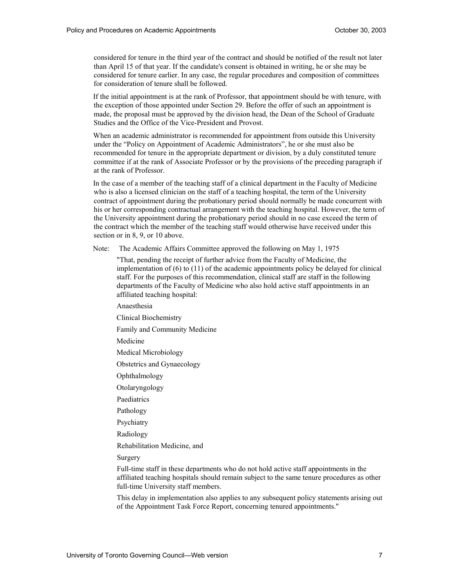considered for tenure in the third year of the contract and should be notified of the result not later than April 15 of that year. If the candidate's consent is obtained in writing, he or she may be considered for tenure earlier. In any case, the regular procedures and composition of committees for consideration of tenure shall be followed.

 If the initial appointment is at the rank of Professor, that appointment should be with tenure, with the exception of those appointed under Section 29. Before the offer of such an appointment is made, the proposal must be approved by the division head, the Dean of the School of Graduate Studies and the Office of the Vice-President and Provost.

 When an academic administrator is recommended for appointment from outside this University under the "Policy on Appointment of Academic Administrators", he or she must also be recommended for tenure in the appropriate department or division, by a duly constituted tenure committee if at the rank of Associate Professor or by the provisions of the preceding paragraph if at the rank of Professor.

 In the case of a member of the teaching staff of a clinical department in the Faculty of Medicine who is also a licensed clinician on the staff of a teaching hospital, the term of the University contract of appointment during the probationary period should normally be made concurrent with his or her corresponding contractual arrangement with the teaching hospital. However, the term of the University appointment during the probationary period should in no case exceed the term of the contract which the member of the teaching staff would otherwise have received under this section or in 8, 9, or 10 above.

Note: The Academic Affairs Committee approved the following on May 1, 1975

 "That, pending the receipt of further advice from the Faculty of Medicine, the implementation of (6) to (11) of the academic appointments policy be delayed for clinical staff. For the purposes of this recommendation, clinical staff are staff in the following departments of the Faculty of Medicine who also hold active staff appointments in an affiliated teaching hospital:

Anaesthesia

Clinical Biochemistry

Family and Community Medicine

Medicine

Medical Microbiology

Obstetrics and Gynaecology

Ophthalmology

Otolaryngology

Paediatrics

Pathology

Psychiatry

Radiology

Rehabilitation Medicine, and

Surgery

 Full-time staff in these departments who do not hold active staff appointments in the affiliated teaching hospitals should remain subject to the same tenure procedures as other full-time University staff members.

 This delay in implementation also applies to any subsequent policy statements arising out of the Appointment Task Force Report, concerning tenured appointments."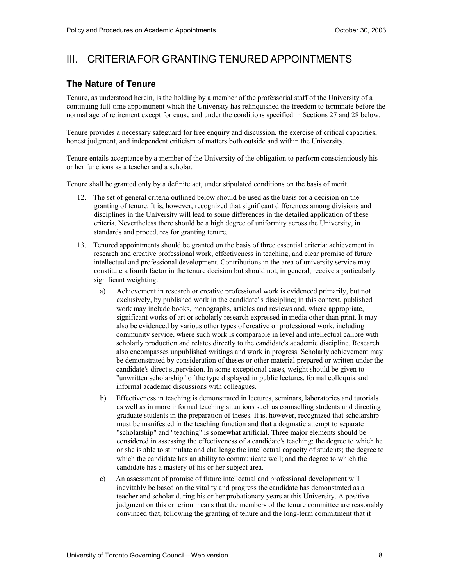## III. CRITERIA FOR GRANTING TENURED APPOINTMENTS

### **The Nature of Tenure**

 Tenure, as understood herein, is the holding by a member of the professorial staff of the University of a continuing full-time appointment which the University has relinquished the freedom to terminate before the normal age of retirement except for cause and under the conditions specified in Sections 27 and 28 below.

 Tenure provides a necessary safeguard for free enquiry and discussion, the exercise of critical capacities, honest judgment, and independent criticism of matters both outside and within the University.

 Tenure entails acceptance by a member of the University of the obligation to perform conscientiously his or her functions as a teacher and a scholar.

Tenure shall be granted only by a definite act, under stipulated conditions on the basis of merit.

- 12. The set of general criteria outlined below should be used as the basis for a decision on the granting of tenure. It is, however, recognized that significant differences among divisions and disciplines in the University will lead to some differences in the detailed application of these criteria. Nevertheless there should be a high degree of uniformity across the University, in standards and procedures for granting tenure.
- 13. Tenured appointments should be granted on the basis of three essential criteria: achievement in research and creative professional work, effectiveness in teaching, and clear promise of future intellectual and professional development. Contributions in the area of university service may constitute a fourth factor in the tenure decision but should not, in general, receive a particularly significant weighting.
	- a) Achievement in research or creative professional work is evidenced primarily, but not exclusively, by published work in the candidate' s discipline; in this context, published work may include books, monographs, articles and reviews and, where appropriate, significant works of art or scholarly research expressed in media other than print. It may also be evidenced by various other types of creative or professional work, including community service, where such work is comparable in level and intellectual calibre with scholarly production and relates directly to the candidate's academic discipline. Research also encompasses unpublished writings and work in progress. Scholarly achievement may be demonstrated by consideration of theses or other material prepared or written under the candidate's direct supervision. In some exceptional cases, weight should be given to "unwritten scholarship" of the type displayed in public lectures, formal colloquia and informal academic discussions with colleagues.
	- b) Effectiveness in teaching is demonstrated in lectures, seminars, laboratories and tutorials as well as in more informal teaching situations such as counselling students and directing graduate students in the preparation of theses. It is, however, recognized that scholarship must be manifested in the teaching function and that a dogmatic attempt to separate "scholarship" and "teaching" is somewhat artificial. Three major elements should be considered in assessing the effectiveness of a candidate's teaching: the degree to which he or she is able to stimulate and challenge the intellectual capacity of students; the degree to which the candidate has an ability to communicate well; and the degree to which the candidate has a mastery of his or her subject area.
	- $c)$  inevitably be based on the vitality and progress the candidate has demonstrated as a teacher and scholar during his or her probationary years at this University. A positive judgment on this criterion means that the members of the tenure committee are reasonably convinced that, following the granting of tenure and the long-term commitment that it An assessment of promise of future intellectual and professional development will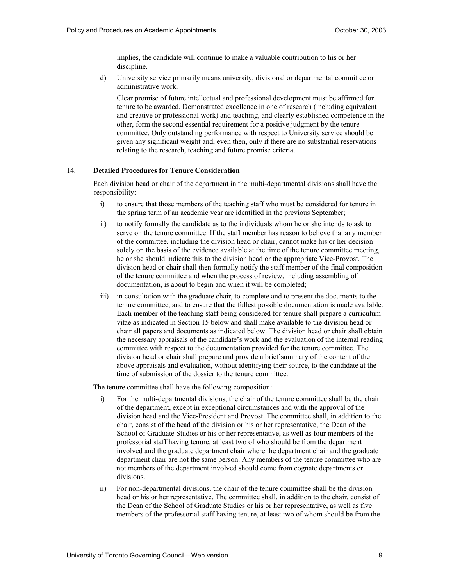implies, the candidate will continue to make a valuable contribution to his or her discipline.

d) University service primarily means university, divisional or departmental committee or administrative work.

 Clear promise of future intellectual and professional development must be affirmed for tenure to be awarded. Demonstrated excellence in one of research (including equivalent and creative or professional work) and teaching, and clearly established competence in the other, form the second essential requirement for a positive judgment by the tenure committee. Only outstanding performance with respect to University service should be given any significant weight and, even then, only if there are no substantial reservations relating to the research, teaching and future promise criteria.

#### 14. **Detailed Procedures for Tenure Consideration**

 Each division head or chair of the department in the multi-departmental divisions shall have the responsibility:

- i) to ensure that those members of the teaching staff who must be considered for tenure in the spring term of an academic year are identified in the previous September;
- $\overline{11}$  serve on the tenure committee. If the staff member has reason to believe that any member of the committee, including the division head or chair, cannot make his or her decision solely on the basis of the evidence available at the time of the tenure committee meeting, he or she should indicate this to the division head or the appropriate Vice-Provost. The division head or chair shall then formally notify the staff member of the final composition of the tenure committee and when the process of review, including assembling of documentation, is about to begin and when it will be completed; to notify formally the candidate as to the individuals whom he or she intends to ask to
- $\overline{\textbf{iii}}$  tenure committee, and to ensure that the fullest possible documentation is made available. Each member of the teaching staff being considered for tenure shall prepare a curriculum vitae as indicated in Section 15 below and shall make available to the division head or chair all papers and documents as indicated below. The division head or chair shall obtain the necessary appraisals of the candidate's work and the evaluation of the internal reading committee with respect to the documentation provided for the tenure committee. The division head or chair shall prepare and provide a brief summary of the content of the above appraisals and evaluation, without identifying their source, to the candidate at the time of submission of the dossier to the tenure committee. in consultation with the graduate chair, to complete and to present the documents to the

The tenure committee shall have the following composition:

- of the department, except in exceptional circumstances and with the approval of the division head and the Vice-President and Provost. The committee shall, in addition to the chair, consist of the head of the division or his or her representative, the Dean of the School of Graduate Studies or his or her representative, as well as four members of the professorial staff having tenure, at least two of who should be from the department involved and the graduate department chair where the department chair and the graduate department chair are not the same person. Any members of the tenure committee who are not members of the department involved should come from cognate departments or i) For the multi-departmental divisions, the chair of the tenure committee shall be the chair divisions.
- $\overline{11}$  head or his or her representative. The committee shall, in addition to the chair, consist of the Dean of the School of Graduate Studies or his or her representative, as well as five members of the professorial staff having tenure, at least two of whom should be from the For non-departmental divisions, the chair of the tenure committee shall be the division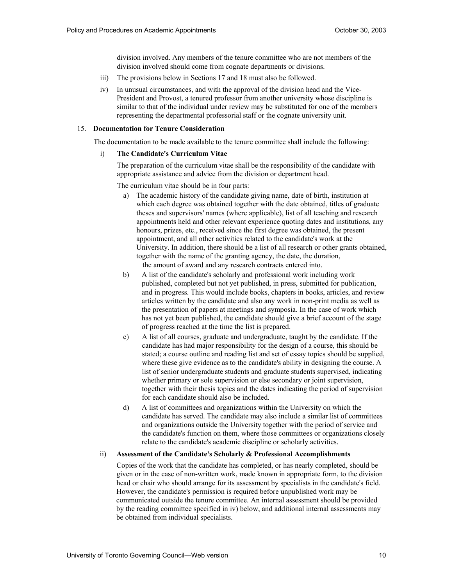division involved. Any members of the tenure committee who are not members of the division involved should come from cognate departments or divisions.

- iii) The provisions below in Sections 17 and 18 must also be followed.
- iv) In unusual circumstances, and with the approval of the division head and the Vice- President and Provost, a tenured professor from another university whose discipline is similar to that of the individual under review may be substituted for one of the members representing the departmental professorial staff or the cognate university unit.

#### 15. **Documentation for Tenure Consideration**

The documentation to be made available to the tenure committee shall include the following:

#### i) **The Candidate's Curriculum Vitae**

 The preparation of the curriculum vitae shall be the responsibility of the candidate with appropriate assistance and advice from the division or department head.

The curriculum vitae should be in four parts:

- a) The academic history of the candidate giving name, date of birth, institution at which each degree was obtained together with the date obtained, titles of graduate theses and supervisors' names (where applicable), list of all teaching and research appointments held and other relevant experience quoting dates and institutions, any honours, prizes, etc., received since the first degree was obtained, the present appointment, and all other activities related to the candidate's work at the University. In addition, there should be a list of all research or other grants obtained, together with the name of the granting agency, the date, the duration, the amount of award and any research contracts entered into.
- b) published, completed but not yet published, in press, submitted for publication, and in progress. This would include books, chapters in books, articles, and review articles written by the candidate and also any work in non-print media as well as the presentation of papers at meetings and symposia. In the case of work which has not yet been published, the candidate should give a brief account of the stage of progress reached at the time the list is prepared. b) A list of the candidate's scholarly and professional work including work
- $\mathbf{c}$ ) candidate has had major responsibility for the design of a course, this should be stated; a course outline and reading list and set of essay topics should be supplied, where these give evidence as to the candidate's ability in designing the course. A list of senior undergraduate students and graduate students supervised, indicating whether primary or sole supervision or else secondary or joint supervision, together with their thesis topics and the dates indicating the period of supervision for each candidate should also be included. A list of all courses, graduate and undergraduate, taught by the candidate. If the
- d) A list of committees and organizations within the University on which the candidate has served. The candidate may also include a similar list of committees and organizations outside the University together with the period of service and the candidate's function on them, where those committees or organizations closely relate to the candidate's academic discipline or scholarly activities.

#### ii) Assessment of the Candidate's Scholarly & Professional Accomplishments

 Copies of the work that the candidate has completed, or has nearly completed, should be given or in the case of non-written work, made known in appropriate form, to the division head or chair who should arrange for its assessment by specialists in the candidate's field. However, the candidate's permission is required before unpublished work may be communicated outside the tenure committee. An internal assessment should be provided by the reading committee specified in iv) below, and additional internal assessments may be obtained from individual specialists.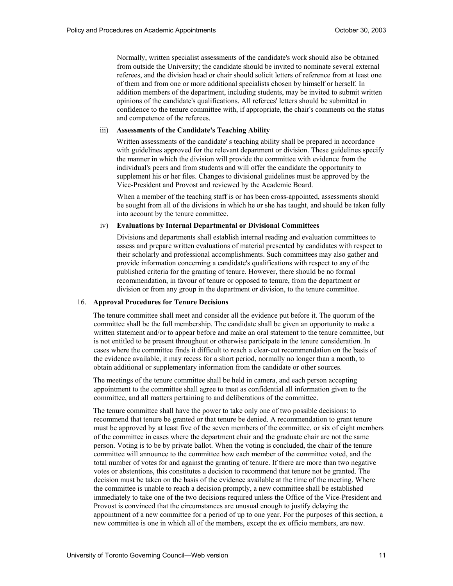Normally, written specialist assessments of the candidate's work should also be obtained from outside the University; the candidate should be invited to nominate several external referees, and the division head or chair should solicit letters of reference from at least one of them and from one or more additional specialists chosen by himself or herself. In addition members of the department, including students, may be invited to submit written opinions of the candidate's qualifications. All referees' letters should be submitted in confidence to the tenure committee with, if appropriate, the chair's comments on the status and competence of the referees.

#### iii) **Assessments of the Candidate's Teaching Ability**

 Written assessments of the candidate' s teaching ability shall be prepared in accordance with guidelines approved for the relevant department or division. These guidelines specify the manner in which the division will provide the committee with evidence from the individual's peers and from students and will offer the candidate the opportunity to supplement his or her files. Changes to divisional guidelines must be approved by the Vice-President and Provost and reviewed by the Academic Board.

 When a member of the teaching staff is or has been cross-appointed, assessments should be sought from all of the divisions in which he or she has taught, and should be taken fully into account by the tenure committee.

#### iv) **Evaluations by Internal Departmental or Divisional Committees**

 Divisions and departments shall establish internal reading and evaluation committees to assess and prepare written evaluations of material presented by candidates with respect to their scholarly and professional accomplishments. Such committees may also gather and provide information concerning a candidate's qualifications with respect to any of the published criteria for the granting of tenure. However, there should be no formal recommendation, in favour of tenure or opposed to tenure, from the department or division or from any group in the department or division, to the tenure committee.

#### 16. **Approval Procedures for Tenure Decisions**

 The tenure committee shall meet and consider all the evidence put before it. The quorum of the committee shall be the full membership. The candidate shall be given an opportunity to make a written statement and/or to appear before and make an oral statement to the tenure committee, but is not entitled to be present throughout or otherwise participate in the tenure consideration. In cases where the committee finds it difficult to reach a clear-cut recommendation on the basis of the evidence available, it may recess for a short period, normally no longer than a month, to obtain additional or supplementary information from the candidate or other sources.

 The meetings of the tenure committee shall be held in camera, and each person accepting appointment to the committee shall agree to treat as confidential all information given to the committee, and all matters pertaining to and deliberations of the committee.

 The tenure committee shall have the power to take only one of two possible decisions: to recommend that tenure be granted or that tenure be denied. A recommendation to grant tenure must be approved by at least five of the seven members of the committee, or six of eight members of the committee in cases where the department chair and the graduate chair are not the same person. Voting is to be by private ballot. When the voting is concluded, the chair of the tenure committee will announce to the committee how each member of the committee voted, and the total number of votes for and against the granting of tenure. If there are more than two negative votes or abstentions, this constitutes a decision to recommend that tenure not be granted. The decision must be taken on the basis of the evidence available at the time of the meeting. Where the committee is unable to reach a decision promptly, a new committee shall be established immediately to take one of the two decisions required unless the Office of the Vice-President and Provost is convinced that the circumstances are unusual enough to justify delaying the appointment of a new committee for a period of up to one year. For the purposes of this section, a new committee is one in which all of the members, except the ex officio members, are new.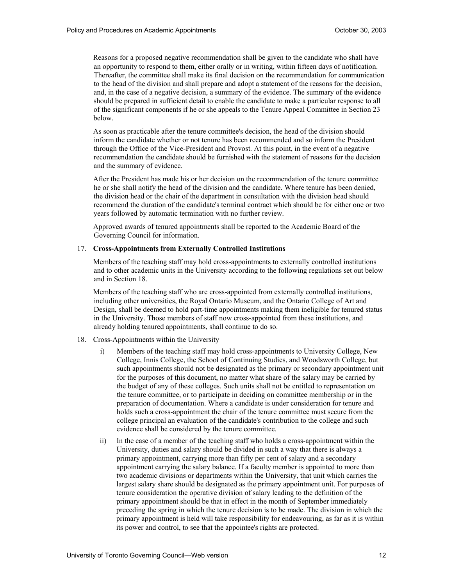Reasons for a proposed negative recommendation shall be given to the candidate who shall have an opportunity to respond to them, either orally or in writing, within fifteen days of notification. Thereafter, the committee shall make its final decision on the recommendation for communication to the head of the division and shall prepare and adopt a statement of the reasons for the decision, and, in the case of a negative decision, a summary of the evidence. The summary of the evidence should be prepared in sufficient detail to enable the candidate to make a particular response to all of the significant components if he or she appeals to the Tenure Appeal Committee in Section 23 below.

 As soon as practicable after the tenure committee's decision, the head of the division should inform the candidate whether or not tenure has been recommended and so inform the President through the Office of the Vice-President and Provost. At this point, in the event of a negative recommendation the candidate should be furnished with the statement of reasons for the decision and the summary of evidence.

 After the President has made his or her decision on the recommendation of the tenure committee he or she shall notify the head of the division and the candidate. Where tenure has been denied, the division head or the chair of the department in consultation with the division head should recommend the duration of the candidate's terminal contract which should be for either one or two years followed by automatic termination with no further review.

 Approved awards of tenured appointments shall be reported to the Academic Board of the Governing Council for information.

#### 17. **Cross-Appointments from Externally Controlled Institutions**

 Members of the teaching staff may hold cross-appointments to externally controlled institutions and to other academic units in the University according to the following regulations set out below and in Section 18.

 Members of the teaching staff who are cross-appointed from externally controlled institutions, including other universities, the Royal Ontario Museum, and the Ontario College of Art and Design, shall be deemed to hold part-time appointments making them ineligible for tenured status in the University. Those members of staff now cross-appointed from these institutions, and already holding tenured appointments, shall continue to do so.

- 18. Cross-Appointments within the University
	- i) Members of the teaching staff may hold cross-appointments to University College, New College, Innis College, the School of Continuing Studies, and Woodsworth College, but such appointments should not be designated as the primary or secondary appointment unit for the purposes of this document, no matter what share of the salary may be carried by the budget of any of these colleges. Such units shall not be entitled to representation on the tenure committee, or to participate in deciding on committee membership or in the preparation of documentation. Where a candidate is under consideration for tenure and holds such a cross-appointment the chair of the tenure committee must secure from the college principal an evaluation of the candidate's contribution to the college and such evidence shall be considered by the tenure committee.
	- $\overline{11}$  University, duties and salary should be divided in such a way that there is always a primary appointment, carrying more than fifty per cent of salary and a secondary appointment carrying the salary balance. If a faculty member is appointed to more than two academic divisions or departments within the University, that unit which carries the largest salary share should be designated as the primary appointment unit. For purposes of tenure consideration the operative division of salary leading to the definition of the primary appointment should be that in effect in the month of September immediately preceding the spring in which the tenure decision is to be made. The division in which the primary appointment is held will take responsibility for endeavouring, as far as it is within its power and control, to see that the appointee's rights are protected. In the case of a member of the teaching staff who holds a cross-appointment within the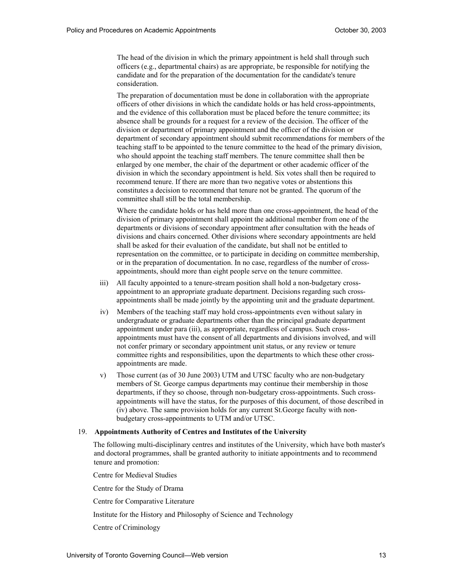The head of the division in which the primary appointment is held shall through such officers (e.g., departmental chairs) as are appropriate, be responsible for notifying the candidate and for the preparation of the documentation for the candidate's tenure consideration.

 The preparation of documentation must be done in collaboration with the appropriate officers of other divisions in which the candidate holds or has held cross-appointments, and the evidence of this collaboration must be placed before the tenure committee; its absence shall be grounds for a request for a review of the decision. The officer of the division or department of primary appointment and the officer of the division or department of secondary appointment should submit recommendations for members of the teaching staff to be appointed to the tenure committee to the head of the primary division, who should appoint the teaching staff members. The tenure committee shall then be enlarged by one member, the chair of the department or other academic officer of the division in which the secondary appointment is held. Six votes shall then be required to recommend tenure. If there are more than two negative votes or abstentions this constitutes a decision to recommend that tenure not be granted. The quorum of the committee shall still be the total membership.

 Where the candidate holds or has held more than one cross-appointment, the head of the division of primary appointment shall appoint the additional member from one of the departments or divisions of secondary appointment after consultation with the heads of divisions and chairs concerned. Other divisions where secondary appointments are held shall be asked for their evaluation of the candidate, but shall not be entitled to representation on the committee, or to participate in deciding on committee membership, or in the preparation of documentation. In no case, regardless of the number of cross-appointments, should more than eight people serve on the tenure committee.

- iii) All faculty appointed to a tenure-stream position shall hold a non-budgetary cross- appointment to an appropriate graduate department. Decisions regarding such cross-appointments shall be made jointly by the appointing unit and the graduate department.
- $iv)$  undergraduate or graduate departments other than the principal graduate department appointment under para (iii), as appropriate, regardless of campus. Such cross- appointments must have the consent of all departments and divisions involved, and will not confer primary or secondary appointment unit status, or any review or tenure committee rights and responsibilities, upon the departments to which these other cross- appointments are made. Members of the teaching staff may hold cross-appointments even without salary in
- $V)$  members of St. George campus departments may continue their membership in those departments, if they so choose, through non-budgetary cross-appointments. Such cross- appointments will have the status, for the purposes of this document, of those described in (iv) above. The same provision holds for any current St.George faculty with non- budgetary cross-appointments to UTM and/or UTSC. Those current (as of 30 June 2003) UTM and UTSC faculty who are non-budgetary

#### 19. **Appointments Authority of Centres and Institutes of the University**

 The following multi-disciplinary centres and institutes of the University, which have both master's and doctoral programmes, shall be granted authority to initiate appointments and to recommend tenure and promotion:

Centre for Medieval Studies

Centre for the Study of Drama

Centre for Comparative Literature

Institute for the History and Philosophy of Science and Technology

Centre of Criminology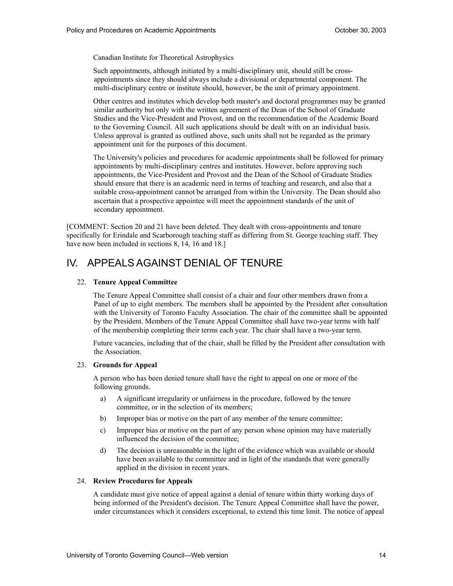Canadian Institute for Theoretical Astrophysics

 Such appointments, although initiated by a multi-disciplinary unit, should still be cross- appointments since they should always include a divisional or departmental component. The multi-disciplinary centre or institute should, however, be the unit of primary appointment.

 Other centres and institutes which develop both master's and doctoral programmes may be granted similar authority but only with the written agreement of the Dean of the School of Graduate Studies and the Vice-President and Provost, and on the recommendation of the Academic Board to the Governing Council. All such applications should be dealt with on an individual basis. Unless approval is granted as outlined above, such units shall not be regarded as the primary appointment unit for the purposes of this document.

 The University's policies and procedures for academic appointments shall be followed for primary appointments by multi-disciplinary centres and institutes. However, before approving such appointments, the Vice-President and Provost and the Dean of the School of Graduate Studies should ensure that there is an academic need in terms of teaching and research, and also that a suitable cross-appointment cannot be arranged from within the University. The Dean should also ascertain that a prospective appointee will meet the appointment standards of the unit of secondary appointment.

 [COMMENT: Section 20 and 21 have been deleted. They dealt with cross-appointments and tenure specifically for Erindale and Scarborough teaching staff as differing from St. George teaching staff. They have now been included in sections 8, 14, 16 and 18.]

## IV. APPEALS AGAINST DENIAL OF TENURE

#### 22. **Tenure Appeal Committee**

 The Tenure Appeal Committee shall consist of a chair and four other members drawn from a Panel of up to eight members. The members shall be appointed by the President after consultation with the University of Toronto Faculty Association. The chair of the committee shall be appointed by the President. Members of the Tenure Appeal Committee shall have two-year terms with half of the membership completing their terms each year. The chair shall have a two-year term.

 Future vacancies, including that of the chair, shall be filled by the President after consultation with the Association.

#### 23. **Grounds for Appeal**

 A person who has been denied tenure shall have the right to appeal on one or more of the following grounds.

- a) committee, or in the selection of its members; A significant irregularity or unfairness in the procedure, followed by the tenure
- $b)$ Improper bias or motive on the part of any member of the tenure committee;
- $c)$  influenced the decision of the committee; Improper bias or motive on the part of any person whose opinion may have materially
- $\mathbf{d}$  have been available to the committee and in light of the standards that were generally applied in the division in recent years. The decision is unreasonable in the light of the evidence which was available or should

#### 24. **Review Procedures for Appeals**

 A candidate must give notice of appeal against a denial of tenure within thirty working days of being informed of the President's decision. The Tenure Appeal Committee shall have the power, under circumstances which it considers exceptional, to extend this time limit. The notice of appeal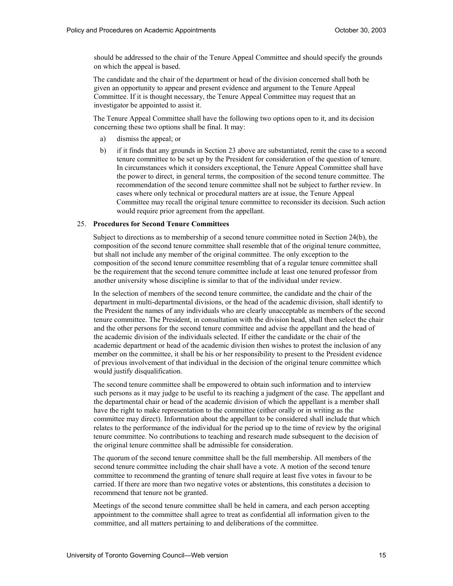should be addressed to the chair of the Tenure Appeal Committee and should specify the grounds on which the appeal is based.

 The candidate and the chair of the department or head of the division concerned shall both be given an opportunity to appear and present evidence and argument to the Tenure Appeal Committee. If it is thought necessary, the Tenure Appeal Committee may request that an investigator be appointed to assist it.

 The Tenure Appeal Committee shall have the following two options open to it, and its decision concerning these two options shall be final. It may:

- a) dismiss the appeal; or
- $b)$  tenure committee to be set up by the President for consideration of the question of tenure. In circumstances which it considers exceptional, the Tenure Appeal Committee shall have the power to direct, in general terms, the composition of the second tenure committee. The recommendation of the second tenure committee shall not be subject to further review. In cases where only technical or procedural matters are at issue, the Tenure Appeal Committee may recall the original tenure committee to reconsider its decision. Such action would require prior agreement from the appellant. if it finds that any grounds in Section 23 above are substantiated, remit the case to a second

#### 25. **Procedures for Second Tenure Committees**

 Subject to directions as to membership of a second tenure committee noted in Section 24(b), the composition of the second tenure committee shall resemble that of the original tenure committee, but shall not include any member of the original committee. The only exception to the composition of the second tenure committee resembling that of a regular tenure committee shall be the requirement that the second tenure committee include at least one tenured professor from another university whose discipline is similar to that of the individual under review.

 In the selection of members of the second tenure committee, the candidate and the chair of the department in multi-departmental divisions, or the head of the academic division, shall identify to the President the names of any individuals who are clearly unacceptable as members of the second tenure committee. The President, in consultation with the division head, shall then select the chair and the other persons for the second tenure committee and advise the appellant and the head of the academic division of the individuals selected. If either the candidate or the chair of the academic department or head of the academic division then wishes to protest the inclusion of any member on the committee, it shall be his or her responsibility to present to the President evidence of previous involvement of that individual in the decision of the original tenure committee which would justify disqualification.

 The second tenure committee shall be empowered to obtain such information and to interview such persons as it may judge to be useful to its reaching a judgment of the case. The appellant and the departmental chair or head of the academic division of which the appellant is a member shall have the right to make representation to the committee (either orally or in writing as the committee may direct). Information about the appellant to be considered shall include that which relates to the performance of the individual for the period up to the time of review by the original tenure committee. No contributions to teaching and research made subsequent to the decision of the original tenure committee shall be admissible for consideration.

 The quorum of the second tenure committee shall be the full membership. All members of the second tenure committee including the chair shall have a vote. A motion of the second tenure committee to recommend the granting of tenure shall require at least five votes in favour to be carried. If there are more than two negative votes or abstentions, this constitutes a decision to recommend that tenure not be granted.

 Meetings of the second tenure committee shall be held in camera, and each person accepting committee, and all matters pertaining to and deliberations of the committee. appointment to the committee shall agree to treat as confidential all information given to the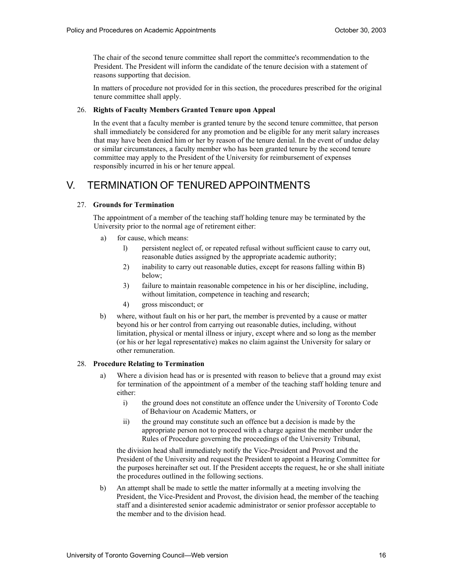The chair of the second tenure committee shall report the committee's recommendation to the President. The President will inform the candidate of the tenure decision with a statement of reasons supporting that decision.

 In matters of procedure not provided for in this section, the procedures prescribed for the original tenure committee shall apply.

#### 26. **Rights of Faculty Members Granted Tenure upon Appeal**

 In the event that a faculty member is granted tenure by the second tenure committee, that person shall immediately be considered for any promotion and be eligible for any merit salary increases that may have been denied him or her by reason of the tenure denial. In the event of undue delay or similar circumstances, a faculty member who has been granted tenure by the second tenure responsibly incurred in his or her tenure appeal. committee may apply to the President of the University for reimbursement of expenses

## V. TERMINATION OF TENURED APPOINTMENTS

#### 27. **Grounds for Termination**

 The appointment of a member of the teaching staff holding tenure may be terminated by the University prior to the normal age of retirement either:

- $a)$ for cause, which means:
	- l) persistent neglect of, or repeated refusal without sufficient cause to carry out, reasonable duties assigned by the appropriate academic authority;
	- 2) inability to carry out reasonable duties, except for reasons falling within B) below;
	- $3)$  without limitation, competence in teaching and research; failure to maintain reasonable competence in his or her discipline, including,
	- $4)$ gross misconduct; or
- $b)$  beyond his or her control from carrying out reasonable duties, including, without limitation, physical or mental illness or injury, except where and so long as the member (or his or her legal representative) makes no claim against the University for salary or where, without fault on his or her part, the member is prevented by a cause or matter other remuneration.

#### 28. **Procedure Relating to Termination**

- a) for termination of the appointment of a member of the teaching staff holding tenure and Where a division head has or is presented with reason to believe that a ground may exist either:
	- $\overline{1}$  of Behaviour on Academic Matters, or the ground does not constitute an offence under the University of Toronto Code
	- $\overline{ii}$  appropriate person not to proceed with a charge against the member under the Rules of Procedure governing the proceedings of the University Tribunal, the ground may constitute such an offence but a decision is made by the

 the division head shall immediately notify the Vice-President and Provost and the President of the University and request the President to appoint a Hearing Committee for the purposes hereinafter set out. If the President accepts the request, he or she shall initiate the procedures outlined in the following sections.

b) An attempt shall be made to settle the matter informally at a meeting involving the President, the Vice-President and Provost, the division head, the member of the teaching staff and a disinterested senior academic administrator or senior professor acceptable to the member and to the division head.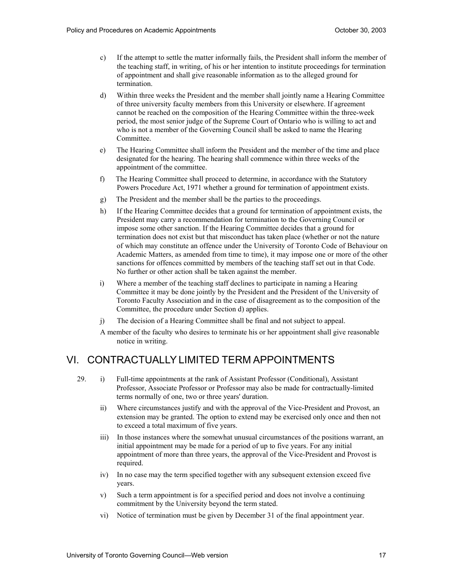- c) If the attempt to settle the matter informally fails, the President shall inform the member of the teaching staff, in writing, of his or her intention to institute proceedings for termination of appointment and shall give reasonable information as to the alleged ground for termination.
- $\mathbf{d}$  of three university faculty members from this University or elsewhere. If agreement cannot be reached on the composition of the Hearing Committee within the three-week period, the most senior judge of the Supreme Court of Ontario who is willing to act and who is not a member of the Governing Council shall be asked to name the Hearing Within three weeks the President and the member shall jointly name a Hearing Committee Committee.
- e) The Hearing Committee shall inform the President and the member of the time and place designated for the hearing. The hearing shall commence within three weeks of the appointment of the committee.
- $f$  Powers Procedure Act, 1971 whether a ground for termination of appointment exists. The Hearing Committee shall proceed to determine, in accordance with the Statutory
- g) The President and the member shall be the parties to the proceedings.
- $h)$  President may carry a recommendation for termination to the Governing Council or impose some other sanction. If the Hearing Committee decides that a ground for termination does not exist but that misconduct has taken place (whether or not the nature of which may constitute an offence under the University of Toronto Code of Behaviour on Academic Matters, as amended from time to time), it may impose one or more of the other sanctions for offences committed by members of the teaching staff set out in that Code. No further or other action shall be taken against the member. If the Hearing Committee decides that a ground for termination of appointment exists, the
- $i)$  Committee it may be done jointly by the President and the President of the University of Toronto Faculty Association and in the case of disagreement as to the composition of the Committee, the procedure under Section d) applies. Where a member of the teaching staff declines to participate in naming a Hearing
- $\overline{1}$ The decision of a Hearing Committee shall be final and not subject to appeal.
- A member of the faculty who desires to terminate his or her appointment shall give reasonable notice in writing.

## VI. CONTRACTUALLY LIMITED TERM APPOINTMENTS

- 29. i) Full-time appointments at the rank of Assistant Professor (Conditional), Assistant Professor, Associate Professor or Professor may also be made for contractually-limited terms normally of one, two or three years' duration.
	- $\overline{11}$  to exceed a total maximum of five years. Where circumstances justify and with the approval of the Vice-President and Provost, an extension may be granted. The option to extend may be exercised only once and then not
	- iii) In those instances where the somewhat unusual circumstances of the positions warrant, an initial appointment may be made for a period of up to five years. For any initial appointment of more than three years, the approval of the Vice-President and Provost is required.
	- iv) In no case may the term specified together with any subsequent extension exceed five years.
	- $V$ ) commitment by the University beyond the term stated. Such a term appointment is for a specified period and does not involve a continuing
	- $\overline{vi}$ Notice of termination must be given by December 31 of the final appointment year.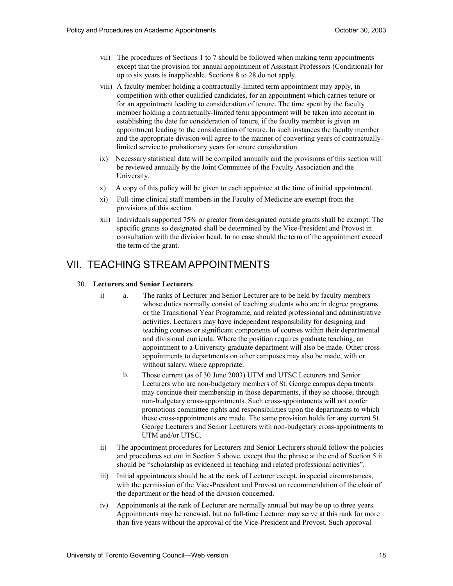- vii) The procedures of Sections 1 to 7 should be followed when making term appointments except that the provision for annual appointment of Assistant Professors (Conditional) for up to six years is inapplicable. Sections 8 to 28 do not apply.
- viii) A faculty member holding a contractually-limited term appointment may apply, in competition with other qualified candidates, for an appointment which carries tenure or for an appointment leading to consideration of tenure. The time spent by the faculty member holding a contractually-limited term appointment will be taken into account in establishing the date for consideration of tenure, if the faculty member is given an appointment leading to the consideration of tenure. In such instances the faculty member and the appropriate division will agree to the manner of converting years of contractually-limited service to probationary years for tenure consideration.
- ix) Necessary statistical data will be compiled annually and the provisions of this section will be reviewed annually by the Joint Committee of the Faculty Association and the University.
- $\mathbf{x})$ x) A copy of this policy will be given to each appointee at the time of initial appointment.
- xi) Full-time clinical staff members in the Faculty of Medicine are exempt from the provisions of this section.
- xii) Individuals supported 75% or greater from designated outside grants shall be exempt. The specific grants so designated shall be determined by the Vice-President and Provost in consultation with the division head. In no case should the term of the appointment exceed the term of the grant.

## VII. TEACHING STREAM APPOINTMENTS

#### 30. **Lecturers and Senior Lecturers**

- $i)$  whose duties normally consist of teaching students who are in degree programs or the Transitional Year Programme, and related professional and administrative activities. Lecturers may have independent responsibility for designing and teaching courses or significant components of courses within their departmental and divisional curricula. Where the position requires graduate teaching, an appointment to a University graduate department will also be made. Other cross- appointments to departments on other campuses may also be made, with or without salary, where appropriate. a. The ranks of Lecturer and Senior Lecturer are to be held by faculty members
	- Lecturers who are non-budgetary members of St. George campus departments may continue their membership in those departments, if they so choose, through non-budgetary cross-appointments. Such cross-appointments will not confer promotions committee rights and responsibilities upon the departments to which these cross-appointments are made. The same provision holds for any current St. George Lecturers and Senior Lecturers with non-budgetary cross-appointments to UTM and/or UTSC. b. Those current (as of 30 June 2003) UTM and UTSC Lecturers and Senior
- $\overline{11}$  and procedures set out in Section 5 above, except that the phrase at the end of Section 5.ii should be "scholarship as evidenced in teaching and related professional activities". The appointment procedures for Lecturers and Senior Lecturers should follow the policies
- $\overline{iii}$  with the permission of the Vice-President and Provost on recommendation of the chair of the department or the head of the division concerned. Initial appointments should be at the rank of Lecturer except, in special circumstances,
- iv) Appointments at the rank of Lecturer are normally annual but may be up to three years. Appointments may be renewed, but no full-time Lecturer may serve at this rank for more than five years without the approval of the Vice-President and Provost. Such approval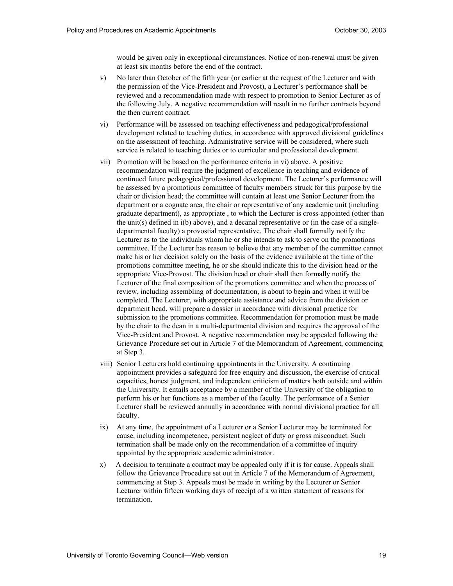would be given only in exceptional circumstances. Notice of non-renewal must be given at least six months before the end of the contract.

- $V)$  the permission of the Vice-President and Provost), a Lecturer's performance shall be reviewed and a recommendation made with respect to promotion to Senior Lecturer as of the following July. A negative recommendation will result in no further contracts beyond the then current contract. No later than October of the fifth year (or earlier at the request of the Lecturer and with
- vi) Performance will be assessed on teaching effectiveness and pedagogical/professional development related to teaching duties, in accordance with approved divisional guidelines on the assessment of teaching. Administrative service will be considered, where such service is related to teaching duties or to curricular and professional development.
- vii) Promotion will be based on the performance criteria in vi) above. A positive recommendation will require the judgment of excellence in teaching and evidence of continued future pedagogical/professional development. The Lecturer's performance will be assessed by a promotions committee of faculty members struck for this purpose by the chair or division head; the committee will contain at least one Senior Lecturer from the department or a cognate area, the chair or representative of any academic unit (including graduate department), as appropriate , to which the Lecturer is cross-appointed (other than the unit(s) defined in i(b) above), and a decanal representative or (in the case of a single- departmental faculty) a provostial representative. The chair shall formally notify the Lecturer as to the individuals whom he or she intends to ask to serve on the promotions committee. If the Lecturer has reason to believe that any member of the committee cannot make his or her decision solely on the basis of the evidence available at the time of the promotions committee meeting, he or she should indicate this to the division head or the appropriate Vice-Provost. The division head or chair shall then formally notify the Lecturer of the final composition of the promotions committee and when the process of review, including assembling of documentation, is about to begin and when it will be completed. The Lecturer, with appropriate assistance and advice from the division or department head, will prepare a dossier in accordance with divisional practice for submission to the promotions committee. Recommendation for promotion must be made by the chair to the dean in a multi-departmental division and requires the approval of the Vice-President and Provost. A negative recommendation may be appealed following the Grievance Procedure set out in Article 7 of the Memorandum of Agreement, commencing at Step 3.
- viii) Senior Lecturers hold continuing appointments in the University. A continuing appointment provides a safeguard for free enquiry and discussion, the exercise of critical capacities, honest judgment, and independent criticism of matters both outside and within the University. It entails acceptance by a member of the University of the obligation to perform his or her functions as a member of the faculty. The performance of a Senior Lecturer shall be reviewed annually in accordance with normal divisional practice for all faculty.
- ix) At any time, the appointment of a Lecturer or a Senior Lecturer may be terminated for cause, including incompetence, persistent neglect of duty or gross misconduct. Such termination shall be made only on the recommendation of a committee of inquiry appointed by the appropriate academic administrator.
- x) A decision to terminate a contract may be appealed only if it is for cause. Appeals shall follow the Grievance Procedure set out in Article 7 of the Memorandum of Agreement, commencing at Step 3. Appeals must be made in writing by the Lecturer or Senior Lecturer within fifteen working days of receipt of a written statement of reasons for termination.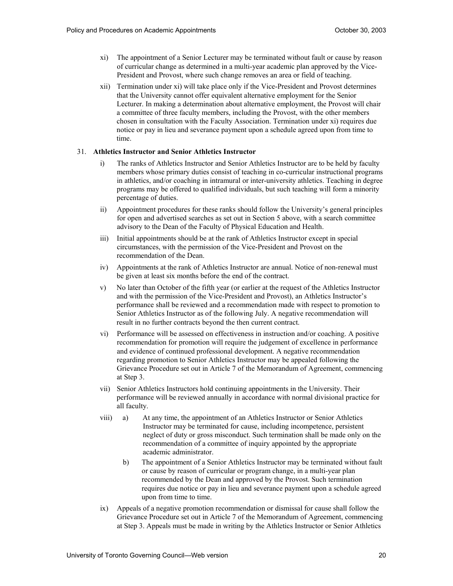- $xi)$  of curricular change as determined in a multi-year academic plan approved by the Vice- President and Provost, where such change removes an area or field of teaching. The appointment of a Senior Lecturer may be terminated without fault or cause by reason
- xii) Termination under xi) will take place only if the Vice-President and Provost determines that the University cannot offer equivalent alternative employment for the Senior Lecturer. In making a determination about alternative employment, the Provost will chair a committee of three faculty members, including the Provost, with the other members chosen in consultation with the Faculty Association. Termination under xi) requires due notice or pay in lieu and severance payment upon a schedule agreed upon from time to time.

#### 31. **Athletics Instructor and Senior Athletics Instructor**

- $\overline{1}$  members whose primary duties consist of teaching in co-curricular instructional programs in athletics, and/or coaching in intramural or inter-university athletics. Teaching in degree programs may be offered to qualified individuals, but such teaching will form a minority percentage of duties. The ranks of Athletics Instructor and Senior Athletics Instructor are to be held by faculty
- ii) Appointment procedures for these ranks should follow the University's general principles for open and advertised searches as set out in Section 5 above, with a search committee advisory to the Dean of the Faculty of Physical Education and Health.
- iii) circumstances, with the permission of the Vice-President and Provost on the recommendation of the Dean. Initial appointments should be at the rank of Athletics Instructor except in special
- iv) Appointments at the rank of Athletics Instructor are annual. Notice of non-renewal must be given at least six months before the end of the contract.
- $V)$  and with the permission of the Vice-President and Provost), an Athletics Instructor's performance shall be reviewed and a recommendation made with respect to promotion to result in no further contracts beyond the then current contract. No later than October of the fifth year (or earlier at the request of the Athletics Instructor Senior Athletics Instructor as of the following July. A negative recommendation will
- vi) Performance will be assessed on effectiveness in instruction and/or coaching. A positive recommendation for promotion will require the judgement of excellence in performance and evidence of continued professional development. A negative recommendation regarding promotion to Senior Athletics Instructor may be appealed following the Grievance Procedure set out in Article 7 of the Memorandum of Agreement, commencing at Step 3.
- $vii)$  performance will be reviewed annually in accordance with normal divisional practice for Senior Athletics Instructors hold continuing appointments in the University. Their all faculty.
- viii) Instructor may be terminated for cause, including incompetence, persistent neglect of duty or gross misconduct. Such termination shall be made only on the recommendation of a committee of inquiry appointed by the appropriate a) At any time, the appointment of an Athletics Instructor or Senior Athletics academic administrator.
	- $b)$  or cause by reason of curricular or program change, in a multi-year plan recommended by the Dean and approved by the Provost. Such termination requires due notice or pay in lieu and severance payment upon a schedule agreed upon from time to time. The appointment of a Senior Athletics Instructor may be terminated without fault
- ix) Appeals of a negative promotion recommendation or dismissal for cause shall follow the Grievance Procedure set out in Article 7 of the Memorandum of Agreement, commencing at Step 3. Appeals must be made in writing by the Athletics Instructor or Senior Athletics